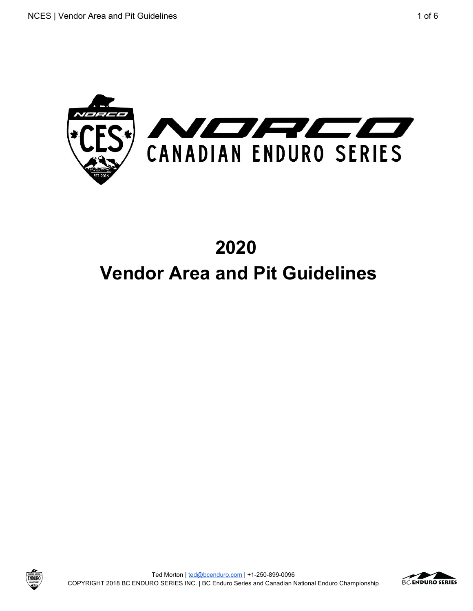

# **2020 Vendor Area and Pit Guidelines**





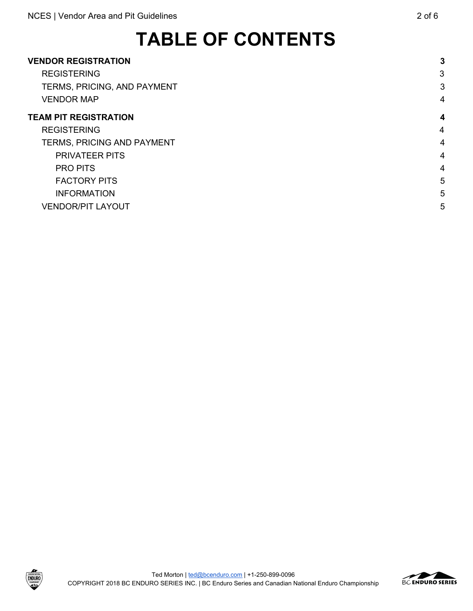# **TABLE OF CONTENTS**

| <b>VENDOR REGISTRATION</b>         | 3              |
|------------------------------------|----------------|
| <b>REGISTERING</b>                 | 3              |
| <b>TERMS, PRICING, AND PAYMENT</b> | 3              |
| <b>VENDOR MAP</b>                  | 4              |
| <b>TEAM PIT REGISTRATION</b>       | 4              |
| <b>REGISTERING</b>                 | $\overline{4}$ |
| TERMS, PRICING AND PAYMENT         | 4              |
| <b>PRIVATEER PITS</b>              | 4              |
| <b>PRO PITS</b>                    | 4              |
| <b>FACTORY PITS</b>                | 5              |
| <b>INFORMATION</b>                 | 5              |
| <b>VENDOR/PIT LAYOUT</b>           | 5              |

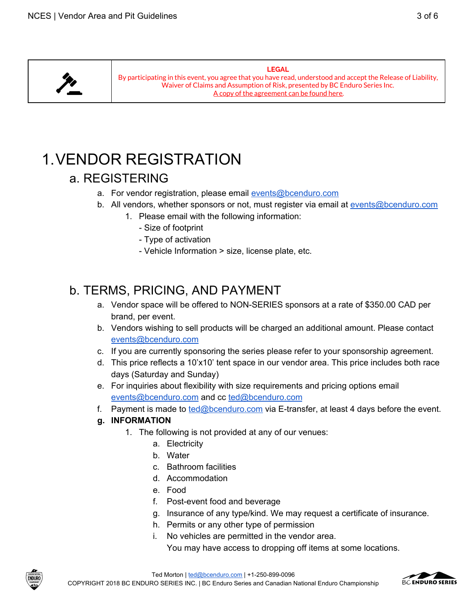

**LEGAL** By participating in this event, you agree that you have read, understood and accept the Release of Liability, Waiver of Claims and Assumption of Risk, presented by BC Enduro Series Inc. A copy of the [agreement](https://drive.google.com/open?id=1pqH2C5oGS4VXHCK3hmuuMWbwX9kGF0a7) can be found here.

## <span id="page-2-1"></span><span id="page-2-0"></span>1.VENDOR REGISTRATION

## a. REGISTERING

- a. For vendor registration, please email [events@bcenduro.com](mailto:events@bcenduro.com)
- b. All vendors, whether sponsors or not, must register via email at [events@bcenduro.com](mailto:events@bcenduro.com)
	- 1. Please email with the following information:
		- Size of footprint
		- Type of activation
		- Vehicle Information > size, license plate, etc.

## <span id="page-2-2"></span>b. TERMS, PRICING, AND PAYMENT

- a. Vendor space will be offered to NON-SERIES sponsors at a rate of \$350.00 CAD per brand, per event.
- b. Vendors wishing to sell products will be charged an additional amount. Please contact [events@bcenduro.com](mailto:events@bcenduro.com)
- c. If you are currently sponsoring the series please refer to your sponsorship agreement.
- d. This price reflects a 10'x10' tent space in our vendor area. This price includes both race days (Saturday and Sunday)
- e. For inquiries about flexibility with size requirements and pricing options email [events@bcenduro.com](mailto:events@bcenduro.com) and cc [ted@bcenduro.com](mailto:ted@bcenduro.com)
- f. Payment is made to [ted@bcenduro.com](mailto:ted@bcenduro.com) via E-transfer, at least 4 days before the event.

#### **g. INFORMATION**

- 1. The following is not provided at any of our venues:
	- a. Electricity
	- b. Water
	- c. Bathroom facilities
	- d. Accommodation
	- e. Food
	- f. Post-event food and beverage
	- g. Insurance of any type/kind. We may request a certificate of insurance.
	- h. Permits or any other type of permission
	- i. No vehicles are permitted in the vendor area.

You may have access to dropping off items at some locations.



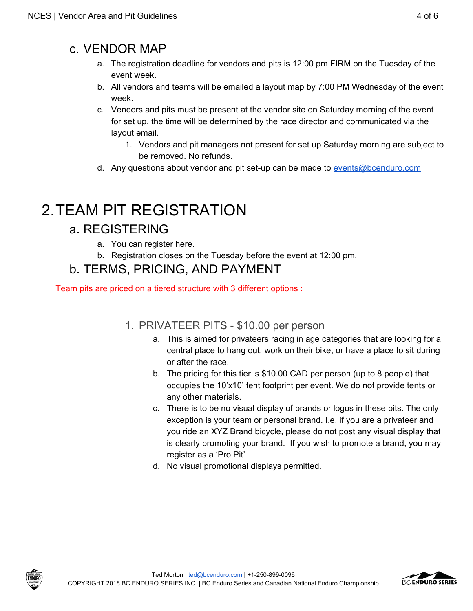## <span id="page-3-0"></span>c. VENDOR MAP

- a. The registration deadline for vendors and pits is 12:00 pm FIRM on the Tuesday of the event week.
- b. All vendors and teams will be emailed a layout map by 7:00 PM Wednesday of the event week.
- c. Vendors and pits must be present at the vendor site on Saturday morning of the event for set up, the time will be determined by the race director and communicated via the layout email.
	- 1. Vendors and pit managers not present for set up Saturday morning are subject to be removed. No refunds.
- d. Any questions about vendor and pit set-up can be made to [events@bcenduro.com](mailto:events@bcenduro.com)

## <span id="page-3-2"></span><span id="page-3-1"></span>2.TEAM PIT REGISTRATION

## a. REGISTERING

- a. You can register here.
- b. Registration closes on the Tuesday before the event at 12:00 pm.

## b. TERMS, PRICING, AND PAYMENT

<span id="page-3-4"></span><span id="page-3-3"></span>Team pits are priced on a tiered structure with 3 different options :

### 1. PRIVATEER PITS - \$10.00 per person

- a. This is aimed for privateers racing in age categories that are looking for a central place to hang out, work on their bike, or have a place to sit during or after the race.
- b. The pricing for this tier is \$10.00 CAD per person (up to 8 people) that occupies the 10'x10' tent footprint per event. We do not provide tents or any other materials.
- c. There is to be no visual display of brands or logos in these pits. The only exception is your team or personal brand. I.e. if you are a privateer and you ride an XYZ Brand bicycle, please do not post any visual display that is clearly promoting your brand. If you wish to promote a brand, you may register as a 'Pro Pit'
- d. No visual promotional displays permitted.





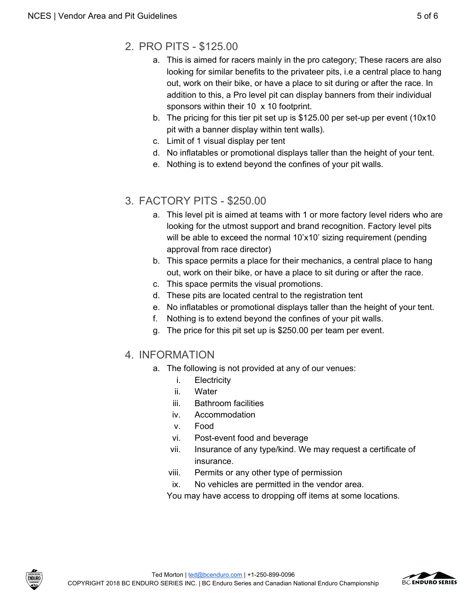- <span id="page-4-0"></span>2. PRO PITS - \$125.00
	- a. This is aimed for racers mainly in the pro category; These racers are also looking for similar benefits to the privateer pits, i.e a central place to hang out, work on their bike, or have a place to sit during or after the race. In addition to this, a Pro level pit can display banners from their individual sponsors within their 10 x 10 footprint.
	- b. The pricing for this tier pit set up is \$125.00 per set-up per event (10x10 pit with a banner display within tent walls).
	- c. Limit of 1 visual display per tent
	- d. No inflatables or promotional displays taller than the height of your tent.
	- e. Nothing is to extend beyond the confines of your pit walls.

### <span id="page-4-1"></span>3. FACTORY PITS - \$250.00

- a. This level pit is aimed at teams with 1 or more factory level riders who are looking for the utmost support and brand recognition. Factory level pits will be able to exceed the normal 10'x10' sizing requirement (pending approval from race director)
- b. This space permits a place for their mechanics, a central place to hang out, work on their bike, or have a place to sit during or after the race.
- c. This space permits the visual promotions.
- d. These pits are located central to the registration tent
- e. No inflatables or promotional displays taller than the height of your tent.
- f. Nothing is to extend beyond the confines of your pit walls.
- g. The price for this pit set up is \$250.00 per team per event.

### <span id="page-4-2"></span>4. INFORMATION

- a. The following is not provided at any of our venues:
	- i. Electricity
	- ii. Water
	- iii. Bathroom facilities
	- iv. Accommodation
	- v. Food
	- vi. Post-event food and beverage
	- vii. Insurance of any type/kind. We may request a certificate of insurance.
	- viii. Permits or any other type of permission
	- ix. No vehicles are permitted in the vendor area.

You may have access to dropping off items at some locations.